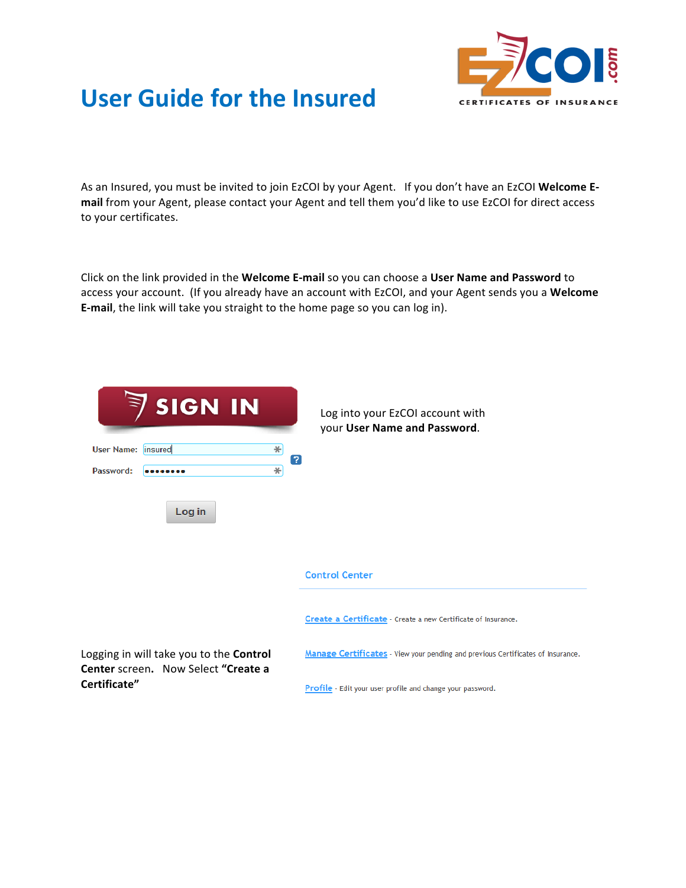

## User Guide for the Insured **CERTIFICATES OF INSURANCE**

As an Insured, you must be invited to join EzCOI by your Agent. If you don't have an EzCOI Welcome Email from your Agent, please contact your Agent and tell them you'd like to use EzCOI for direct access to your certificates.

Click on the link provided in the Welcome E-mail so you can choose a User Name and Password to access your account. (If you already have an account with EzCOI, and your Agent sends you a Welcome **E-mail**, the link will take you straight to the home page so you can log in).

| <b>SIGN IN</b>                                                                 | Log into your EzCOI account with<br>your User Name and Password.                |
|--------------------------------------------------------------------------------|---------------------------------------------------------------------------------|
| ∗<br>User Name: insured<br>2                                                   |                                                                                 |
| Password:<br>∗<br>                                                             |                                                                                 |
| Log in                                                                         |                                                                                 |
|                                                                                | <b>Control Center</b>                                                           |
|                                                                                | Create a Certificate - Create a new Certificate of Insurance.                   |
| Logging in will take you to the Control<br>Center screen. Now Select "Create a | Manage Certificates - View your pending and previous Certificates of Insurance. |
| Certificate"                                                                   | Profile - Edit your user profile and change your password.                      |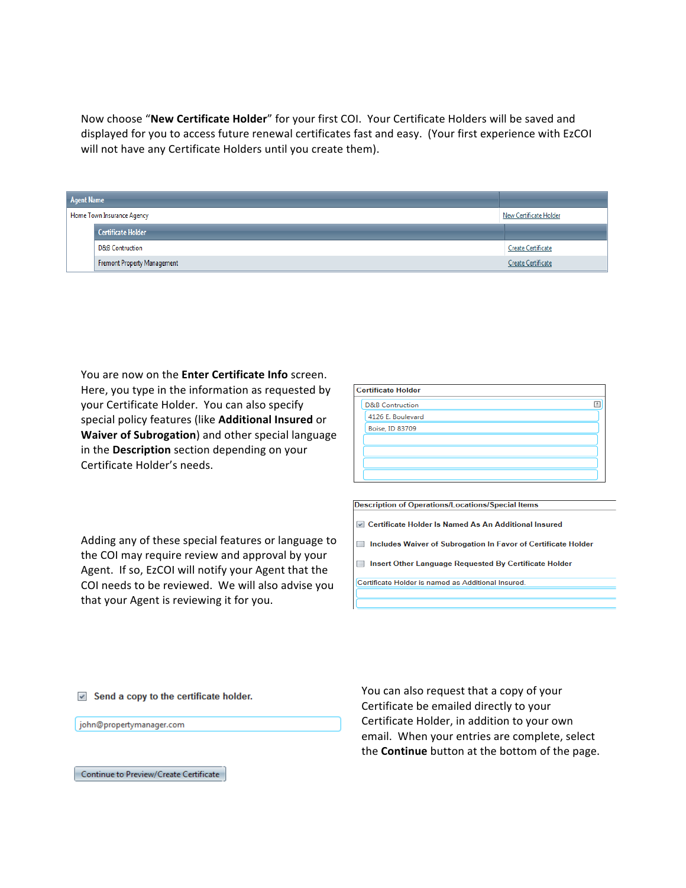Now choose "New Certificate Holder" for your first COI. Your Certificate Holders will be saved and displayed for you to access future renewal certificates fast and easy. (Your first experience with EzCOI will not have any Certificate Holders until you create them).

| <b>Agent Name</b> |                             |                        |
|-------------------|-----------------------------|------------------------|
|                   | Home Town Insurance Agency  | New Certificate Holder |
|                   | Certificate Holder          |                        |
|                   | <b>D&amp;B Contruction</b>  | Create Certificate     |
|                   | Fremont Property Management | Create Certificate     |

You are now on the **Enter Certificate Info** screen. Here, you type in the information as requested by your Certificate Holder. You can also specify special policy features (like **Additional Insured** or **Waiver of Subrogation**) and other special language in the Description section depending on your Certificate Holder's needs.

| <b>Certificate Holder</b> |                            |  |  |
|---------------------------|----------------------------|--|--|
|                           | <b>D&amp;B</b> Contruction |  |  |
|                           | 4126 E. Boulevard          |  |  |
|                           | Boise, ID 83709            |  |  |
|                           |                            |  |  |
|                           |                            |  |  |
|                           |                            |  |  |
|                           |                            |  |  |

**Description of Operations/Locations/Special Items** 

☑ Certificate Holder Is Named As An Additional Insured

Includes Waiver of Subrogation In Favor of Certificate Holder

Insert Other Language Requested By Certificate Holder

Certificate Holder is named as Additional Insured.

Adding any of these special features or language to the COI may require review and approval by your Agent. If so, EzCOI will notify your Agent that the COI needs to be reviewed. We will also advise you that your Agent is reviewing it for you.

 $\blacktriangleright$  Send a copy to the certificate holder.

john@propertymanager.com

You can also request that a copy of your Certificate be emailed directly to your Certificate Holder, in addition to your own email. When your entries are complete, select the **Continue** button at the bottom of the page.

Continue to Preview/Create Certificate